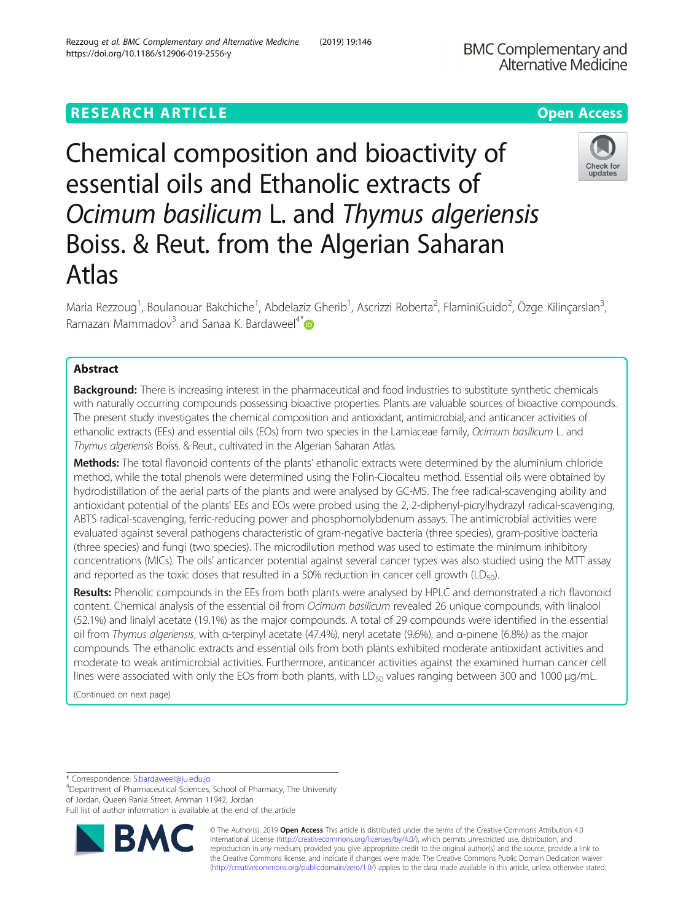# **RESEARCH ARTICLE Example 2014 12:30 The Contract of Contract ACCESS**

https://doi.org/10.1186/s12906-019-2556-y

Chemical composition and bioactivity of essential oils and Ethanolic extracts of Ocimum basilicum L. and Thymus algeriensis Boiss. & Reut. from the Algerian Saharan Atlas

Maria Rezzoug<sup>1</sup>, Boulanouar Bakchiche<sup>1</sup>, Abdelaziz Gherib<sup>1</sup>, Ascrizzi Roberta<sup>2</sup>, FlaminiGuido<sup>2</sup>, Özge Kilinçarslan<sup>3</sup> , Ramazan Mammadov<sup>3</sup> and Sanaa K. Bardaweel<sup>4\*</sup>

# Abstract

**Background:** There is increasing interest in the pharmaceutical and food industries to substitute synthetic chemicals with naturally occurring compounds possessing bioactive properties. Plants are valuable sources of bioactive compounds. The present study investigates the chemical composition and antioxidant, antimicrobial, and anticancer activities of ethanolic extracts (EEs) and essential oils (EOs) from two species in the Lamiaceae family, Ocimum basilicum L. and Thymus algeriensis Boiss. & Reut., cultivated in the Algerian Saharan Atlas.

Methods: The total flavonoid contents of the plants' ethanolic extracts were determined by the aluminium chloride method, while the total phenols were determined using the Folin-Ciocalteu method. Essential oils were obtained by hydrodistillation of the aerial parts of the plants and were analysed by GC-MS. The free radical-scavenging ability and antioxidant potential of the plants' EEs and EOs were probed using the 2, 2-diphenyl-picrylhydrazyl radical-scavenging, ABTS radical-scavenging, ferric-reducing power and phosphomolybdenum assays. The antimicrobial activities were evaluated against several pathogens characteristic of gram-negative bacteria (three species), gram-positive bacteria (three species) and fungi (two species). The microdilution method was used to estimate the minimum inhibitory concentrations (MICs). The oils' anticancer potential against several cancer types was also studied using the MTT assay and reported as the toxic doses that resulted in a 50% reduction in cancer cell growth ( $LD_{50}$ ).

Results: Phenolic compounds in the EEs from both plants were analysed by HPLC and demonstrated a rich flavonoid content. Chemical analysis of the essential oil from Ocimum basilicum revealed 26 unique compounds, with linalool (52.1%) and linalyl acetate (19.1%) as the major compounds. A total of 29 compounds were identified in the essential oil from Thymus algeriensis, with α-terpinyl acetate (47.4%), neryl acetate (9.6%), and α-pinene (6.8%) as the major compounds. The ethanolic extracts and essential oils from both plants exhibited moderate antioxidant activities and moderate to weak antimicrobial activities. Furthermore, anticancer activities against the examined human cancer cell lines were associated with only the EOs from both plants, with LD $_{50}$  values ranging between 300 and 1000  $\mu$ g/mL.

(Continued on next page)

Department of Pharmaceutical Sciences, School of Pharmacy, The University of Jordan, Queen Rania Street, Amman 11942, Jordan

Full list of author information is available at the end of the article

© The Author(s). 2019 **Open Access** This article is distributed under the terms of the Creative Commons Attribution 4.0 International License [\(http://creativecommons.org/licenses/by/4.0/](http://creativecommons.org/licenses/by/4.0/)), which permits unrestricted use, distribution, and reproduction in any medium, provided you give appropriate credit to the original author(s) and the source, provide a link to the Creative Commons license, and indicate if changes were made. The Creative Commons Public Domain Dedication waiver [\(http://creativecommons.org/publicdomain/zero/1.0/](http://creativecommons.org/publicdomain/zero/1.0/)) applies to the data made available in this article, unless otherwise stated.

\* Correspondence: [S.bardaweel@ju.edu.jo](mailto:S.bardaweel@ju.edu.jo) <sup>4</sup>

Rezzoug et al. BMC Complementary and Alternative Medicine (2019) 19:146



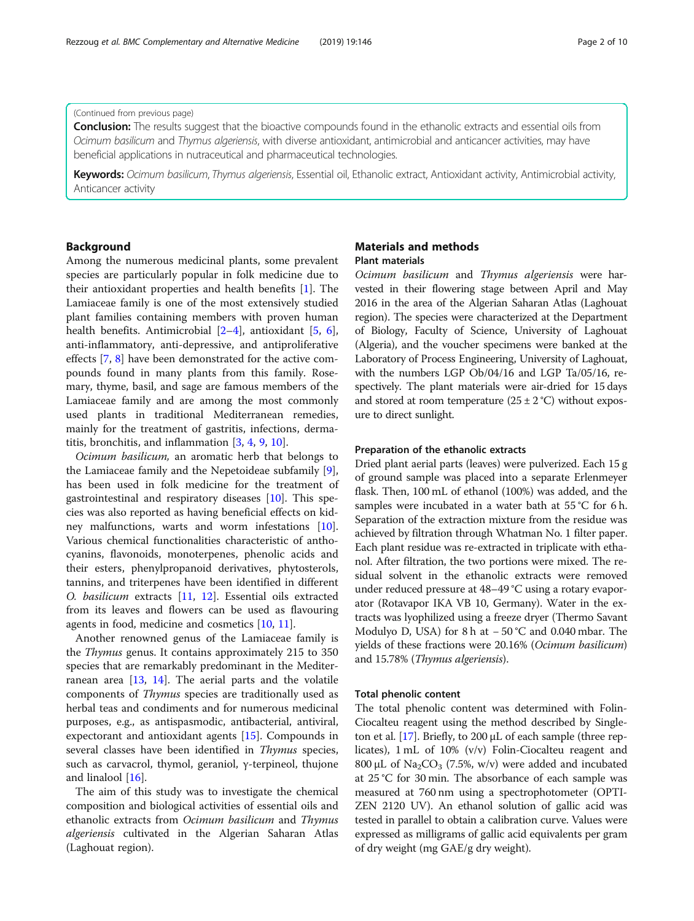## (Continued from previous page)

**Conclusion:** The results suggest that the bioactive compounds found in the ethanolic extracts and essential oils from Ocimum basilicum and Thymus algeriensis, with diverse antioxidant, antimicrobial and anticancer activities, may have beneficial applications in nutraceutical and pharmaceutical technologies.

Keywords: Ocimum basilicum, Thymus algeriensis, Essential oil, Ethanolic extract, Antioxidant activity, Antimicrobial activity, Anticancer activity

# Background

Among the numerous medicinal plants, some prevalent species are particularly popular in folk medicine due to their antioxidant properties and health benefits [[1](#page-9-0)]. The Lamiaceae family is one of the most extensively studied plant families containing members with proven human health benefits. Antimicrobial [\[2](#page-9-0)–[4\]](#page-9-0), antioxidant [[5,](#page-9-0) [6](#page-9-0)], anti-inflammatory, anti-depressive, and antiproliferative effects [[7,](#page-9-0) [8\]](#page-9-0) have been demonstrated for the active compounds found in many plants from this family. Rosemary, thyme, basil, and sage are famous members of the Lamiaceae family and are among the most commonly used plants in traditional Mediterranean remedies, mainly for the treatment of gastritis, infections, dermatitis, bronchitis, and inflammation [[3](#page-9-0), [4](#page-9-0), [9](#page-9-0), [10](#page-9-0)].

Ocimum basilicum, an aromatic herb that belongs to the Lamiaceae family and the Nepetoideae subfamily [\[9](#page-9-0)], has been used in folk medicine for the treatment of gastrointestinal and respiratory diseases [\[10](#page-9-0)]. This species was also reported as having beneficial effects on kidney malfunctions, warts and worm infestations [\[10](#page-9-0)]. Various chemical functionalities characteristic of anthocyanins, flavonoids, monoterpenes, phenolic acids and their esters, phenylpropanoid derivatives, phytosterols, tannins, and triterpenes have been identified in different O. basilicum extracts [[11,](#page-9-0) [12\]](#page-9-0). Essential oils extracted from its leaves and flowers can be used as flavouring agents in food, medicine and cosmetics [[10,](#page-9-0) [11\]](#page-9-0).

Another renowned genus of the Lamiaceae family is the Thymus genus. It contains approximately 215 to 350 species that are remarkably predominant in the Mediterranean area [\[13,](#page-9-0) [14\]](#page-9-0). The aerial parts and the volatile components of Thymus species are traditionally used as herbal teas and condiments and for numerous medicinal purposes, e.g., as antispasmodic, antibacterial, antiviral, expectorant and antioxidant agents [\[15\]](#page-9-0). Compounds in several classes have been identified in Thymus species, such as carvacrol, thymol, geraniol, γ-terpineol, thujone and linalool [\[16\]](#page-9-0).

The aim of this study was to investigate the chemical composition and biological activities of essential oils and ethanolic extracts from Ocimum basilicum and Thymus algeriensis cultivated in the Algerian Saharan Atlas (Laghouat region).

# Materials and methods Plant materials

Ocimum basilicum and Thymus algeriensis were harvested in their flowering stage between April and May 2016 in the area of the Algerian Saharan Atlas (Laghouat region). The species were characterized at the Department of Biology, Faculty of Science, University of Laghouat (Algeria), and the voucher specimens were banked at the Laboratory of Process Engineering, University of Laghouat, with the numbers LGP Ob/04/16 and LGP Ta/05/16, respectively. The plant materials were air-dried for 15 days and stored at room temperature  $(25 \pm 2 \degree C)$  without exposure to direct sunlight.

# Preparation of the ethanolic extracts

Dried plant aerial parts (leaves) were pulverized. Each 15 g of ground sample was placed into a separate Erlenmeyer flask. Then, 100 mL of ethanol (100%) was added, and the samples were incubated in a water bath at 55 °C for 6 h. Separation of the extraction mixture from the residue was achieved by filtration through Whatman No. 1 filter paper. Each plant residue was re-extracted in triplicate with ethanol. After filtration, the two portions were mixed. The residual solvent in the ethanolic extracts were removed under reduced pressure at 48–49 °C using a rotary evaporator (Rotavapor IKA VB 10, Germany). Water in the extracts was lyophilized using a freeze dryer (Thermo Savant Modulyo D, USA) for 8 h at − 50 °C and 0.040 mbar. The yields of these fractions were 20.16% (Ocimum basilicum) and 15.78% (Thymus algeriensis).

# Total phenolic content

The total phenolic content was determined with Folin-Ciocalteu reagent using the method described by Single-ton et al. [\[17](#page-9-0)]. Briefly, to 200 μL of each sample (three replicates), 1 mL of 10% (v/v) Folin-Ciocalteu reagent and 800 μL of  $\text{Na}_2\text{CO}_3$  (7.5%, w/v) were added and incubated at 25 °C for 30 min. The absorbance of each sample was measured at 760 nm using a spectrophotometer (OPTI-ZEN 2120 UV). An ethanol solution of gallic acid was tested in parallel to obtain a calibration curve. Values were expressed as milligrams of gallic acid equivalents per gram of dry weight (mg GAE/g dry weight).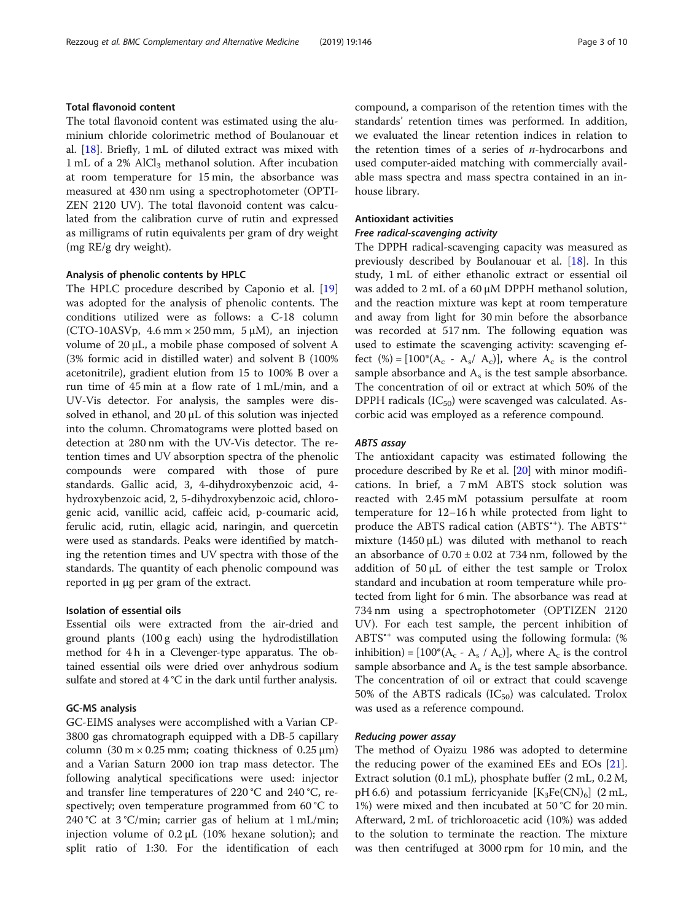# Total flavonoid content

The total flavonoid content was estimated using the aluminium chloride colorimetric method of Boulanouar et al. [[18\]](#page-9-0). Briefly, 1 mL of diluted extract was mixed with 1 mL of a 2% AlCl<sub>3</sub> methanol solution. After incubation at room temperature for 15 min, the absorbance was measured at 430 nm using a spectrophotometer (OPTI-ZEN 2120 UV). The total flavonoid content was calculated from the calibration curve of rutin and expressed as milligrams of rutin equivalents per gram of dry weight (mg RE/g dry weight).

#### Analysis of phenolic contents by HPLC

The HPLC procedure described by Caponio et al. [[19](#page-9-0)] was adopted for the analysis of phenolic contents. The conditions utilized were as follows: a C-18 column (CTO-10ASVp, 4.6 mm  $\times$  250 mm, 5  $\mu$ M), an injection volume of 20 μL, a mobile phase composed of solvent A (3% formic acid in distilled water) and solvent B (100% acetonitrile), gradient elution from 15 to 100% B over a run time of 45 min at a flow rate of 1 mL/min, and a UV-Vis detector. For analysis, the samples were dissolved in ethanol, and 20 μL of this solution was injected into the column. Chromatograms were plotted based on detection at 280 nm with the UV-Vis detector. The retention times and UV absorption spectra of the phenolic compounds were compared with those of pure standards. Gallic acid, 3, 4-dihydroxybenzoic acid, 4 hydroxybenzoic acid, 2, 5-dihydroxybenzoic acid, chlorogenic acid, vanillic acid, caffeic acid, p-coumaric acid, ferulic acid, rutin, ellagic acid, naringin, and quercetin were used as standards. Peaks were identified by matching the retention times and UV spectra with those of the standards. The quantity of each phenolic compound was reported in μg per gram of the extract.

## Isolation of essential oils

Essential oils were extracted from the air-dried and ground plants (100 g each) using the hydrodistillation method for 4 h in a Clevenger-type apparatus. The obtained essential oils were dried over anhydrous sodium sulfate and stored at 4 °C in the dark until further analysis.

## GC-MS analysis

GC-EIMS analyses were accomplished with a Varian CP-3800 gas chromatograph equipped with a DB-5 capillary column  $(30 \text{ m} \times 0.25 \text{ mm})$ ; coating thickness of  $(0.25 \text{ }\mu\text{m})$ and a Varian Saturn 2000 ion trap mass detector. The following analytical specifications were used: injector and transfer line temperatures of 220 °C and 240 °C, respectively; oven temperature programmed from 60 °C to 240 °C at 3 °C/min; carrier gas of helium at  $1$  mL/min; injection volume of  $0.2 \mu$ L (10% hexane solution); and split ratio of 1:30. For the identification of each compound, a comparison of the retention times with the standards' retention times was performed. In addition, we evaluated the linear retention indices in relation to the retention times of a series of  $n$ -hydrocarbons and used computer-aided matching with commercially available mass spectra and mass spectra contained in an inhouse library.

# Antioxidant activities

## Free radical-scavenging activity

The DPPH radical-scavenging capacity was measured as previously described by Boulanouar et al. [\[18](#page-9-0)]. In this study, 1 mL of either ethanolic extract or essential oil was added to 2 mL of a 60 μM DPPH methanol solution, and the reaction mixture was kept at room temperature and away from light for 30 min before the absorbance was recorded at 517 nm. The following equation was used to estimate the scavenging activity: scavenging effect  $(\%) = [100^*(A_c - A_s/A_c)]$ , where  $A_c$  is the control sample absorbance and  $A_s$  is the test sample absorbance. The concentration of oil or extract at which 50% of the DPPH radicals  $(IC_{50})$  were scavenged was calculated. Ascorbic acid was employed as a reference compound.

## ABTS assay

The antioxidant capacity was estimated following the procedure described by Re et al. [\[20](#page-9-0)] with minor modifications. In brief, a 7 mM ABTS stock solution was reacted with 2.45 mM potassium persulfate at room temperature for 12–16 h while protected from light to produce the ABTS radical cation (ABTS<sup>\*+</sup>). The ABTS<sup>\*+</sup> mixture (1450 μL) was diluted with methanol to reach an absorbance of  $0.70 \pm 0.02$  at 734 nm, followed by the addition of 50 μL of either the test sample or Trolox standard and incubation at room temperature while protected from light for 6 min. The absorbance was read at 734 nm using a spectrophotometer (OPTIZEN 2120 UV). For each test sample, the percent inhibition of ABTS<sup>\*\*</sup> was computed using the following formula: (% inhibition) =  $[100^*(A_c - A_s / A_c)]$ , where  $A_c$  is the control sample absorbance and  $A_s$  is the test sample absorbance. The concentration of oil or extract that could scavenge 50% of the ABTS radicals  $(IC_{50})$  was calculated. Trolox was used as a reference compound.

# Reducing power assay

The method of Oyaizu 1986 was adopted to determine the reducing power of the examined EEs and EOs [\[21](#page-9-0)]. Extract solution (0.1 mL), phosphate buffer (2 mL, 0.2 M, pH 6.6) and potassium ferricyanide  $[K_3Fe(CN)_6]$  (2 mL, 1%) were mixed and then incubated at 50 °C for 20 min. Afterward, 2 mL of trichloroacetic acid (10%) was added to the solution to terminate the reaction. The mixture was then centrifuged at 3000 rpm for 10 min, and the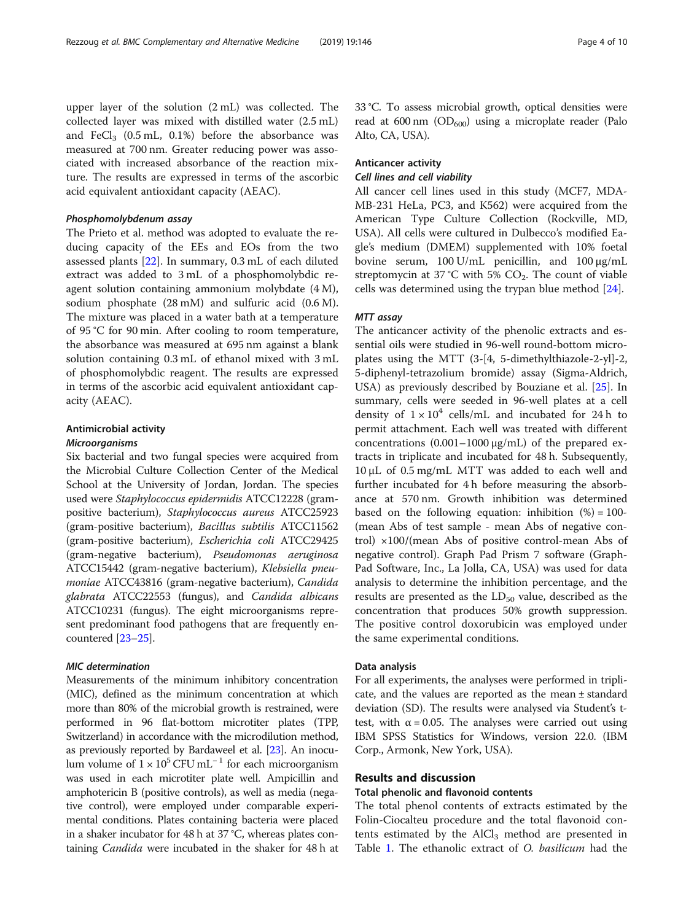upper layer of the solution (2 mL) was collected. The collected layer was mixed with distilled water (2.5 mL) and FeCl<sub>3</sub> (0.5 mL, 0.1%) before the absorbance was measured at 700 nm. Greater reducing power was associated with increased absorbance of the reaction mixture. The results are expressed in terms of the ascorbic acid equivalent antioxidant capacity (AEAC).

## Phosphomolybdenum assay

The Prieto et al. method was adopted to evaluate the reducing capacity of the EEs and EOs from the two assessed plants [[22](#page-9-0)]. In summary, 0.3 mL of each diluted extract was added to 3 mL of a phosphomolybdic reagent solution containing ammonium molybdate (4 M), sodium phosphate (28 mM) and sulfuric acid (0.6 M). The mixture was placed in a water bath at a temperature of 95 °C for 90 min. After cooling to room temperature, the absorbance was measured at 695 nm against a blank solution containing 0.3 mL of ethanol mixed with 3 mL of phosphomolybdic reagent. The results are expressed in terms of the ascorbic acid equivalent antioxidant capacity (AEAC).

# Antimicrobial activity

# Microorganisms

Six bacterial and two fungal species were acquired from the Microbial Culture Collection Center of the Medical School at the University of Jordan, Jordan. The species used were Staphylococcus epidermidis ATCC12228 (grampositive bacterium), Staphylococcus aureus ATCC25923 (gram-positive bacterium), Bacillus subtilis ATCC11562 (gram-positive bacterium), Escherichia coli ATCC29425 (gram-negative bacterium), Pseudomonas aeruginosa ATCC15442 (gram-negative bacterium), Klebsiella pneumoniae ATCC43816 (gram-negative bacterium), Candida glabrata ATCC22553 (fungus), and Candida albicans ATCC10231 (fungus). The eight microorganisms represent predominant food pathogens that are frequently encountered [[23](#page-9-0)–[25\]](#page-9-0).

# MIC determination

Measurements of the minimum inhibitory concentration (MIC), defined as the minimum concentration at which more than 80% of the microbial growth is restrained, were performed in 96 flat-bottom microtiter plates (TPP, Switzerland) in accordance with the microdilution method, as previously reported by Bardaweel et al. [\[23\]](#page-9-0). An inoculum volume of  $1 \times 10^5$  CFU mL<sup>-1</sup> for each microorganism was used in each microtiter plate well. Ampicillin and amphotericin B (positive controls), as well as media (negative control), were employed under comparable experimental conditions. Plates containing bacteria were placed in a shaker incubator for 48 h at 37 °C, whereas plates containing Candida were incubated in the shaker for 48 h at 33 °C. To assess microbial growth, optical densities were read at 600 nm  $OD_{600}$ ) using a microplate reader (Palo Alto, CA, USA).

# Anticancer activity

## Cell lines and cell viability

All cancer cell lines used in this study (MCF7, MDA-MB-231 HeLa, PC3, and K562) were acquired from the American Type Culture Collection (Rockville, MD, USA). All cells were cultured in Dulbecco's modified Eagle's medium (DMEM) supplemented with 10% foetal bovine serum, 100 U/mL penicillin, and 100 μg/mL streptomycin at 37 °C with 5%  $CO<sub>2</sub>$ . The count of viable cells was determined using the trypan blue method [[24](#page-9-0)].

# MTT assay

The anticancer activity of the phenolic extracts and essential oils were studied in 96-well round-bottom microplates using the MTT (3-[4, 5-dimethylthiazole-2-yl]-2, 5-diphenyl-tetrazolium bromide) assay (Sigma-Aldrich, USA) as previously described by Bouziane et al. [\[25\]](#page-9-0). In summary, cells were seeded in 96-well plates at a cell density of  $1 \times 10^4$  cells/mL and incubated for 24 h to permit attachment. Each well was treated with different concentrations (0.001–1000 μg/mL) of the prepared extracts in triplicate and incubated for 48 h. Subsequently, 10 μL of 0.5 mg/mL MTT was added to each well and further incubated for 4 h before measuring the absorbance at 570 nm. Growth inhibition was determined based on the following equation: inhibition  $(\%) = 100$ -(mean Abs of test sample - mean Abs of negative control) ×100/(mean Abs of positive control-mean Abs of negative control). Graph Pad Prism 7 software (Graph-Pad Software, Inc., La Jolla, CA, USA) was used for data analysis to determine the inhibition percentage, and the results are presented as the  $LD_{50}$  value, described as the concentration that produces 50% growth suppression. The positive control doxorubicin was employed under the same experimental conditions.

## Data analysis

For all experiments, the analyses were performed in triplicate, and the values are reported as the mean ± standard deviation (SD). The results were analysed via Student's ttest, with  $\alpha = 0.05$ . The analyses were carried out using IBM SPSS Statistics for Windows, version 22.0. (IBM Corp., Armonk, New York, USA).

## Results and discussion

# Total phenolic and flavonoid contents

The total phenol contents of extracts estimated by the Folin-Ciocalteu procedure and the total flavonoid contents estimated by the  $AICl<sub>3</sub>$  method are presented in Table [1](#page-4-0). The ethanolic extract of O. *basilicum* had the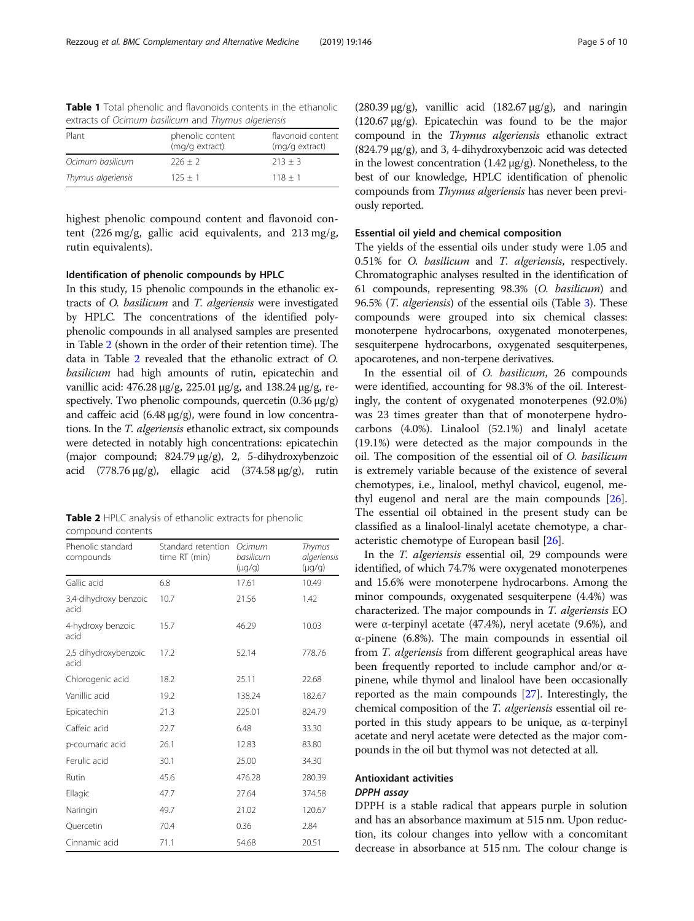| character of community colomboning and imprimed only children bid |                                    |                                     |  |  |  |  |
|-------------------------------------------------------------------|------------------------------------|-------------------------------------|--|--|--|--|
| Plant                                                             | phenolic content<br>(mg/g extract) | flavonoid content<br>(mg/g extract) |  |  |  |  |
| Ocimum basilicum                                                  | $226 + 2$                          | $213 + 3$                           |  |  |  |  |
| Thymus algeriensis                                                | $125 + 1$                          | $118 + 1$                           |  |  |  |  |
|                                                                   |                                    |                                     |  |  |  |  |

<span id="page-4-0"></span>Table 1 Total phenolic and flavonoids contents in the ethanolic extracts of Ocimum basilicum and Thymus algeriensis

highest phenolic compound content and flavonoid content (226 mg/g, gallic acid equivalents, and 213 mg/g, rutin equivalents).

## Identification of phenolic compounds by HPLC

In this study, 15 phenolic compounds in the ethanolic extracts of O. basilicum and T. algeriensis were investigated by HPLC. The concentrations of the identified polyphenolic compounds in all analysed samples are presented in Table 2 (shown in the order of their retention time). The data in Table 2 revealed that the ethanolic extract of O. basilicum had high amounts of rutin, epicatechin and vanillic acid: 476.28 μg/g, 225.01 μg/g, and 138.24 μg/g, respectively. Two phenolic compounds, quercetin (0.36 μg/g) and caffeic acid  $(6.48 \text{ µg/g})$ , were found in low concentrations. In the T. algeriensis ethanolic extract, six compounds were detected in notably high concentrations: epicatechin (major compound; 824.79 μg/g), 2, 5-dihydroxybenzoic acid (778.76  $\mu$ g/g), ellagic acid (374.58  $\mu$ g/g), rutin

|                   | Table 2 HPLC analysis of ethanolic extracts for phenolic |  |
|-------------------|----------------------------------------------------------|--|
| compound contents |                                                          |  |

| Phenolic standard<br>compounds | Standard retention<br>time RT (min) | Ocimum<br>basilicum<br>$(\mu g/g)$ | Thymus<br>algeriensis<br>$(\mu q/q)$ |
|--------------------------------|-------------------------------------|------------------------------------|--------------------------------------|
| Gallic acid                    | 6.8                                 | 17.61                              | 10.49                                |
| 3,4-dihydroxy benzoic<br>acid  | 10.7                                | 21.56                              | 1.42                                 |
| 4-hydroxy benzoic<br>acid      | 15.7                                | 46.29                              | 10.03                                |
| 2,5 dihydroxybenzoic<br>acid   | 17.2                                | 52.14                              | 778.76                               |
| Chlorogenic acid               | 18.2                                | 25.11                              | 22.68                                |
| Vanillic acid                  | 19.2                                | 138.24                             | 182.67                               |
| Epicatechin                    | 21.3                                | 225.01                             | 824.79                               |
| Caffeic acid                   | 22.7                                | 6.48                               | 33.30                                |
| p-coumaric acid                | 26.1                                | 12.83                              | 83.80                                |
| Ferulic acid                   | 30.1                                | 25.00                              | 34.30                                |
| Rutin                          | 45.6                                | 476.28                             | 280.39                               |
| Ellagic                        | 47.7                                | 27.64                              | 374.58                               |
| Naringin                       | 49.7                                | 21.02                              | 120.67                               |
| Quercetin                      | 70.4                                | 0.36                               | 2.84                                 |
| Cinnamic acid                  | 71.1                                | 54.68                              | 20.51                                |

(280.39  $\mu$ g/g), vanillic acid (182.67  $\mu$ g/g), and naringin (120.67 μg/g). Epicatechin was found to be the major compound in the Thymus algeriensis ethanolic extract (824.79 μg/g), and 3, 4-dihydroxybenzoic acid was detected in the lowest concentration (1.42  $\mu$ g/g). Nonetheless, to the best of our knowledge, HPLC identification of phenolic compounds from Thymus algeriensis has never been previously reported.

# Essential oil yield and chemical composition

The yields of the essential oils under study were 1.05 and 0.51% for O. basilicum and T. algeriensis, respectively. Chromatographic analyses resulted in the identification of 61 compounds, representing 98.3% (O. basilicum) and 96.5% (*T. algeriensis*) of the essential oils (Table [3](#page-5-0)). These compounds were grouped into six chemical classes: monoterpene hydrocarbons, oxygenated monoterpenes, sesquiterpene hydrocarbons, oxygenated sesquiterpenes, apocarotenes, and non-terpene derivatives.

In the essential oil of O. basilicum, 26 compounds were identified, accounting for 98.3% of the oil. Interestingly, the content of oxygenated monoterpenes (92.0%) was 23 times greater than that of monoterpene hydrocarbons (4.0%). Linalool (52.1%) and linalyl acetate (19.1%) were detected as the major compounds in the oil. The composition of the essential oil of O. basilicum is extremely variable because of the existence of several chemotypes, i.e., linalool, methyl chavicol, eugenol, methyl eugenol and neral are the main compounds [\[26](#page-9-0)]. The essential oil obtained in the present study can be classified as a linalool-linalyl acetate chemotype, a characteristic chemotype of European basil [\[26](#page-9-0)].

In the T. algeriensis essential oil, 29 compounds were identified, of which 74.7% were oxygenated monoterpenes and 15.6% were monoterpene hydrocarbons. Among the minor compounds, oxygenated sesquiterpene (4.4%) was characterized. The major compounds in T. algeriensis EO were  $\alpha$ -terpinyl acetate (47.4%), neryl acetate (9.6%), and α-pinene (6.8%). The main compounds in essential oil from T. algeriensis from different geographical areas have been frequently reported to include camphor and/or αpinene, while thymol and linalool have been occasionally reported as the main compounds [[27\]](#page-9-0). Interestingly, the chemical composition of the T. algeriensis essential oil reported in this study appears to be unique, as α-terpinyl acetate and neryl acetate were detected as the major compounds in the oil but thymol was not detected at all.

# Antioxidant activities DPPH assay

DPPH is a stable radical that appears purple in solution and has an absorbance maximum at 515 nm. Upon reduction, its colour changes into yellow with a concomitant decrease in absorbance at 515 nm. The colour change is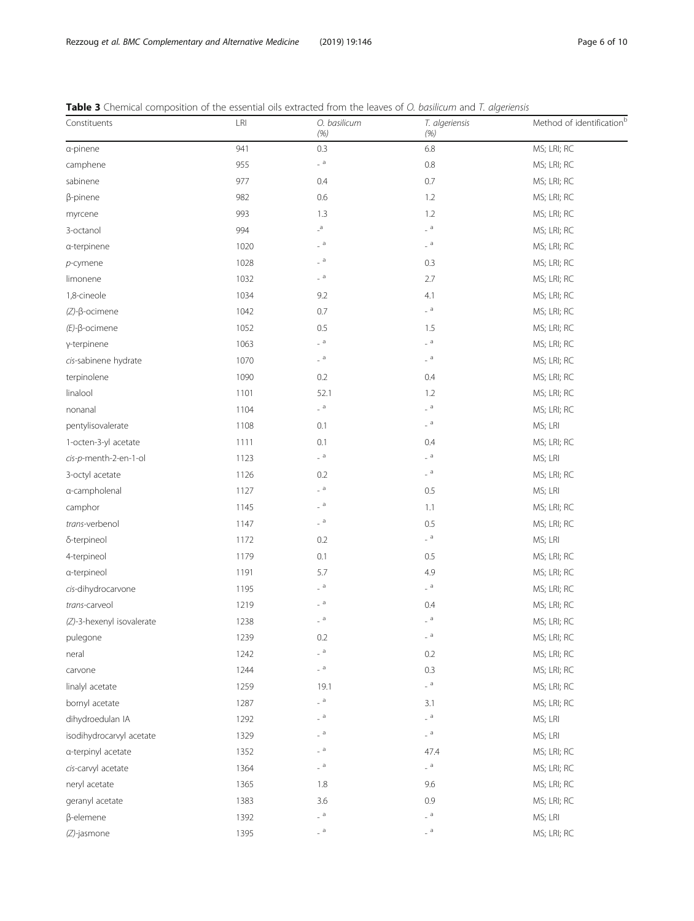| Constituents              | LRI  | O. basilicum<br>(% )       | T. algeriensis<br>(% )     | Method of identification <sup>b</sup> |
|---------------------------|------|----------------------------|----------------------------|---------------------------------------|
| a-pinene                  | 941  | 0.3                        | 6.8                        | MS; LRI; RC                           |
| camphene                  | 955  | $-$ a                      | 0.8                        | MS; LRI; RC                           |
| sabinene                  | 977  | 0.4                        | 0.7                        | MS; LRI; RC                           |
| $\beta$ -pinene           | 982  | 0.6                        | 1.2                        | MS; LRI; RC                           |
| myrcene                   | 993  | 1.3                        | 1.2                        | MS; LRI; RC                           |
| 3-octanol                 | 994  | $\mathsf{a}$               | $a =$                      | MS; LRI; RC                           |
| a-terpinene               | 1020 | $\_$ a $\,$                | $-$ a                      | MS; LRI; RC                           |
| $p$ -cymene               | 1028 | $\_$ a $\,$                | 0.3                        | MS; LRI; RC                           |
| limonene                  | 1032 | $-$ a                      | 2.7                        | MS; LRI; RC                           |
| 1,8-cineole               | 1034 | 9.2                        | 4.1                        | MS; LRI; RC                           |
| $(Z)-\beta$ -ocimene      | 1042 | 0.7                        | $a =$                      | MS; LRI; RC                           |
| $(E)-\beta$ -ocimene      | 1052 | 0.5                        | 1.5                        | MS; LRI; RC                           |
| y-terpinene               | 1063 | $\overline{a}$             | $a =$                      | MS; LRI; RC                           |
| cis-sabinene hydrate      | 1070 | $\_$ a $\,$                | $\overline{\phantom{a}}$ a | MS; LRI; RC                           |
| terpinolene               | 1090 | 0.2                        | 0.4                        | MS; LRI; RC                           |
| linalool                  | 1101 | 52.1                       | 1.2                        | MS; LRI; RC                           |
| nonanal                   | 1104 | $a =$                      | $a =$                      | MS; LRI; RC                           |
| pentylisovalerate         | 1108 | 0.1                        | $a =$                      | MS; LRI                               |
| 1-octen-3-yl acetate      | 1111 | 0.1                        | 0.4                        | MS; LRI; RC                           |
| cis-p-menth-2-en-1-ol     | 1123 | $-$ a                      | $-$ a                      | MS; LRI                               |
| 3-octyl acetate           | 1126 | 0.2                        | $-$ a                      | MS; LRI; RC                           |
| a-campholenal             | 1127 | $\overline{a}$             | 0.5                        | MS; LRI                               |
| camphor                   | 1145 | $\Box$ a                   | 1.1                        | MS; LRI; RC                           |
| trans-verbenol            | 1147 | $-$ a                      | 0.5                        | MS; LRI; RC                           |
| δ-terpineol               | 1172 | 0.2                        | $-$ a                      | MS; LRI                               |
| 4-terpineol               | 1179 | 0.1                        | 0.5                        | MS; LRI; RC                           |
| a-terpineol               | 1191 | 5.7                        | 4.9                        | MS; LRI; RC                           |
| cis-dihydrocarvone        | 1195 | $\overline{a}$             | $\overline{\phantom{a}}$ a | MS; LRI; RC                           |
| trans-carveol             | 1219 | $\Box$ a                   | 0.4                        | MS; LRI; RC                           |
| (Z)-3-hexenyl isovalerate | 1238 | $-$ a                      | $-$ a                      | MS; LRI; RC                           |
| pulegone                  | 1239 | 0.2                        | a                          | MS; LRI; RC                           |
| neral                     | 1242 | $-$ a                      | 0.2                        | MS; LRI; RC                           |
| carvone                   | 1244 | $-$ a                      | 0.3                        | MS; LRI; RC                           |
| linalyl acetate           | 1259 | 19.1                       | $\Box$ a                   | MS; LRI; RC                           |
| bornyl acetate            | 1287 | $\overline{a}$             | 3.1                        | MS; LRI; RC                           |
| dihydroedulan IA          | 1292 | $-$ a                      | $-$ a                      | MS; LRI                               |
| isodihydrocarvyl acetate  | 1329 | $a =$                      | $-$ a                      | MS; LRI                               |
| a-terpinyl acetate        | 1352 | $-$ a                      | 47.4                       | MS; LRI; RC                           |
| cis-carvyl acetate        | 1364 | $-$ a                      | $\overline{\phantom{a}}$ a | MS; LRI; RC                           |
| neryl acetate             | 1365 | 1.8                        | 9.6                        | MS; LRI; RC                           |
| geranyl acetate           | 1383 | 3.6                        | 0.9                        | MS; LRI; RC                           |
| $\beta$ -elemene          | 1392 | $\overline{\phantom{a}}$ a | $-$ a                      | MS; LRI                               |
| (Z)-jasmone               | 1395 | $-$ a                      | $-$ a                      | MS; LRI; RC                           |

<span id="page-5-0"></span>Table 3 Chemical composition of the essential oils extracted from the leaves of O. basilicum and T. algeriensis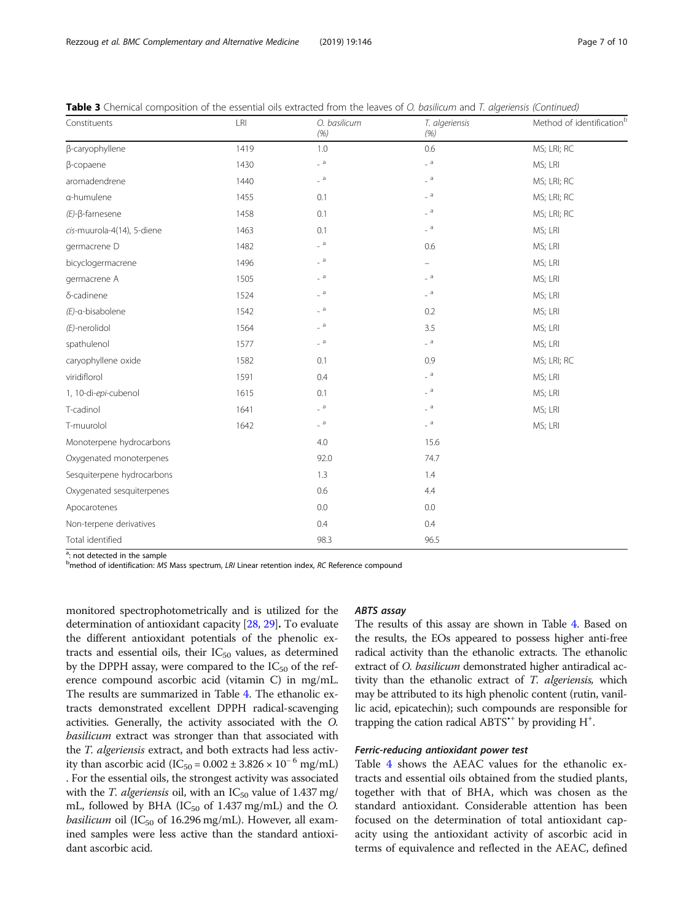| Constituents               | LRI  | O. basilicum<br>(% ) | T. algeriensis<br>(% ) | Method of identification <sup>b</sup> |
|----------------------------|------|----------------------|------------------------|---------------------------------------|
| β-caryophyllene            | 1419 | 1.0                  | 0.6                    | MS; LRI; RC                           |
| β-copaene                  | 1430 | $a =$                | $a =$                  | MS; LRI                               |
| aromadendrene              | 1440 | $-$ a                | $a =$                  | MS; LRI; RC                           |
| a-humulene                 | 1455 | 0.1                  | $\overline{a}$         | MS; LRI; RC                           |
| $(E)-\beta$ -farnesene     | 1458 | 0.1                  | $_{-}$ a               | MS; LRI; RC                           |
| cis-muurola-4(14), 5-diene | 1463 | 0.1                  | $-$ a                  | MS; LRI                               |
| germacrene D               | 1482 | $a =$                | 0.6                    | MS; LRI                               |
| bicyclogermacrene          | 1496 | a                    | ÷                      | MS; LRI                               |
| germacrene A               | 1505 | $a =$                | $a =$                  | MS; LRI                               |
| δ-cadinene                 | 1524 | $a =$                | $a =$                  | MS; LRI                               |
| $(E)$ -a-bisabolene        | 1542 | $a =$                | 0.2                    | MS; LRI                               |
| $(E)$ -nerolidol           | 1564 | $a =$                | 3.5                    | MS; LRI                               |
| spathulenol                | 1577 | $a =$                | $a =$                  | MS; LRI                               |
| caryophyllene oxide        | 1582 | 0.1                  | 0.9                    | MS; LRI; RC                           |
| viridiflorol               | 1591 | 0.4                  | $a =$                  | MS; LRI                               |
| 1, 10-di-epi-cubenol       | 1615 | 0.1                  | a                      | MS; LRI                               |
| T-cadinol                  | 1641 | $a =$                | $a =$                  | MS; LRI                               |
| T-muurolol                 | 1642 | $a =$                | $a =$                  | MS; LRI                               |
| Monoterpene hydrocarbons   |      | 4.0                  | 15.6                   |                                       |
| Oxygenated monoterpenes    |      | 92.0                 | 74.7                   |                                       |
| Sesquiterpene hydrocarbons |      | 1.3                  | 1.4                    |                                       |
| Oxygenated sesquiterpenes  |      | 0.6                  | 4.4                    |                                       |
| Apocarotenes               |      | 0.0                  | 0.0                    |                                       |
| Non-terpene derivatives    |      | 0.4                  | 0.4                    |                                       |
| Total identified           |      | 98.3                 | 96.5                   |                                       |

Table 3 Chemical composition of the essential oils extracted from the leaves of O. basilicum and T. algeriensis (Continued)

<sup>a</sup>: not detected in the sample

<sup>b</sup>method of identification: MS Mass spectrum, LRI Linear retention index, RC Reference compound

monitored spectrophotometrically and is utilized for the determination of antioxidant capacity [[28,](#page-9-0) [29\]](#page-9-0). To evaluate the different antioxidant potentials of the phenolic extracts and essential oils, their  $IC_{50}$  values, as determined by the DPPH assay, were compared to the  $IC_{50}$  of the reference compound ascorbic acid (vitamin C) in mg/mL. The results are summarized in Table [4.](#page-7-0) The ethanolic extracts demonstrated excellent DPPH radical-scavenging activities. Generally, the activity associated with the O. basilicum extract was stronger than that associated with the T. algeriensis extract, and both extracts had less activity than ascorbic acid (IC<sub>50</sub> = 0.002 ± 3.826 × 10<sup>-6</sup> mg/mL) . For the essential oils, the strongest activity was associated with the T. algeriensis oil, with an  $IC_{50}$  value of 1.437 mg/ mL, followed by BHA ( $IC_{50}$  of 1.437 mg/mL) and the O. *basilicum* oil (IC<sub>50</sub> of 16.296 mg/mL). However, all examined samples were less active than the standard antioxidant ascorbic acid.

## ABTS assay

The results of this assay are shown in Table [4](#page-7-0). Based on the results, the EOs appeared to possess higher anti-free radical activity than the ethanolic extracts. The ethanolic extract of O. basilicum demonstrated higher antiradical activity than the ethanolic extract of T. algeriensis, which may be attributed to its high phenolic content (rutin, vanillic acid, epicatechin); such compounds are responsible for trapping the cation radical ABTS<sup>\*+</sup> by providing H<sup>+</sup>.

# Ferric-reducing antioxidant power test

Table [4](#page-7-0) shows the AEAC values for the ethanolic extracts and essential oils obtained from the studied plants, together with that of BHA, which was chosen as the standard antioxidant. Considerable attention has been focused on the determination of total antioxidant capacity using the antioxidant activity of ascorbic acid in terms of equivalence and reflected in the AEAC, defined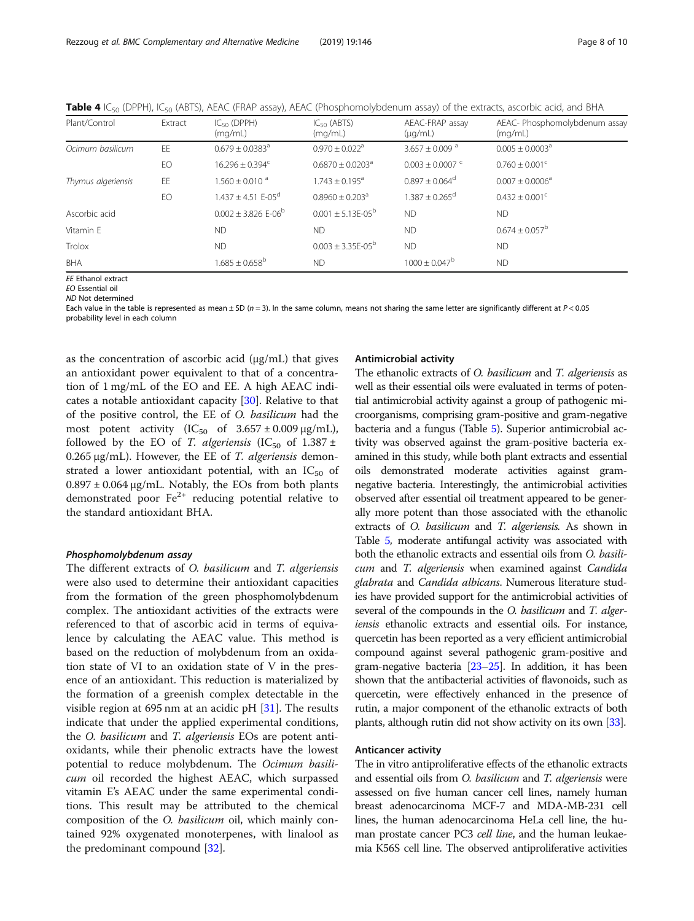| Plant/Control      | Extract | $IC_{50}$ (DPPH)<br>(mq/mL)         | $IC_{50}$ (ABTS)<br>(mq/mL)     | AEAC-FRAP assay<br>$(\mu q/mL)$ | AEAC- Phosphomolybdenum assay<br>(mq/mL) |
|--------------------|---------|-------------------------------------|---------------------------------|---------------------------------|------------------------------------------|
| Ocimum basilicum   | EE      | $0.679 + 0.0383^a$                  | $0.970 + 0.022$ <sup>a</sup>    | $3.657 + 0.009$ <sup>a</sup>    | $0.005 + 0.0003^{\circ}$                 |
|                    | EO      | $16.296 \pm 0.394^c$                | $0.6870 + 0.0203a$              | $0.003 \pm 0.0007$ <sup>c</sup> | $0.760 \pm 0.001$ <sup>c</sup>           |
| Thymus algeriensis | EE      | $1.560 + 0.010$ <sup>a</sup>        | $1.743 + 0.195^a$               | $0.897 \pm 0.064$ <sup>d</sup>  | $0.007 \pm 0.0006^a$                     |
|                    | EO      | $1.437 \pm 4.51$ E-05 <sup>d</sup>  | $0.8960 \pm 0.203$ <sup>a</sup> | $1.387 \pm 0.265$ <sup>d</sup>  | $0.432 \pm 0.001^{\circ}$                |
| Ascorbic acid      |         | $0.002 \pm 3.826$ E-06 <sup>b</sup> | $0.001 + 5.13F - 0.5^{b}$       | <b>ND</b>                       | <b>ND</b>                                |
| Vitamin E          |         | <b>ND</b>                           | <b>ND</b>                       | <b>ND</b>                       | $0.674 \pm 0.057^{\rm b}$                |
| Trolox             |         | <b>ND</b>                           | $0.003 \pm 3.35E - 05^b$        | <b>ND</b>                       | <b>ND</b>                                |
| BHA                |         | $1.685 \pm 0.658^{\rm b}$           | <b>ND</b>                       | $1000 \pm 0.047^b$              | <b>ND</b>                                |

<span id="page-7-0"></span>**Table 4** IC<sub>50</sub> (DPPH), IC<sub>50</sub> (ABTS), AEAC (FRAP assay), AEAC (Phosphomolybdenum assay) of the extracts, ascorbic acid, and BHA

EE Ethanol extract

EO Essential oil

ND Not determined

Each value in the table is represented as mean  $\pm$  SD ( $n = 3$ ). In the same column, means not sharing the same letter are significantly different at  $P < 0.05$ probability level in each column

as the concentration of ascorbic acid (μg/mL) that gives an antioxidant power equivalent to that of a concentration of 1 mg/mL of the EO and EE. A high AEAC indicates a notable antioxidant capacity [[30](#page-9-0)]. Relative to that of the positive control, the EE of O. basilicum had the most potent activity  $(IC_{50}$  of  $3.657 \pm 0.009 \,\mu\text{g/mL})$ , followed by the EO of T. algeriensis (IC<sub>50</sub> of  $1.387 \pm$ 0.265 μg/mL). However, the EE of T. algeriensis demonstrated a lower antioxidant potential, with an  $IC_{50}$  of  $0.897 \pm 0.064 \,\mu g/mL$ . Notably, the EOs from both plants demonstrated poor  $Fe^{2+}$  reducing potential relative to the standard antioxidant BHA.

# Phosphomolybdenum assay

The different extracts of O. basilicum and T. algeriensis were also used to determine their antioxidant capacities from the formation of the green phosphomolybdenum complex. The antioxidant activities of the extracts were referenced to that of ascorbic acid in terms of equivalence by calculating the AEAC value. This method is based on the reduction of molybdenum from an oxidation state of VI to an oxidation state of V in the presence of an antioxidant. This reduction is materialized by the formation of a greenish complex detectable in the visible region at 695 nm at an acidic pH [[31](#page-9-0)]. The results indicate that under the applied experimental conditions, the *O. basilicum* and *T. algeriensis* EOs are potent antioxidants, while their phenolic extracts have the lowest potential to reduce molybdenum. The Ocimum basilicum oil recorded the highest AEAC, which surpassed vitamin E's AEAC under the same experimental conditions. This result may be attributed to the chemical composition of the O. basilicum oil, which mainly contained 92% oxygenated monoterpenes, with linalool as the predominant compound [\[32](#page-9-0)].

## Antimicrobial activity

The ethanolic extracts of O. basilicum and T. algeriensis as well as their essential oils were evaluated in terms of potential antimicrobial activity against a group of pathogenic microorganisms, comprising gram-positive and gram-negative bacteria and a fungus (Table [5](#page-8-0)). Superior antimicrobial activity was observed against the gram-positive bacteria examined in this study, while both plant extracts and essential oils demonstrated moderate activities against gramnegative bacteria. Interestingly, the antimicrobial activities observed after essential oil treatment appeared to be generally more potent than those associated with the ethanolic extracts of O. basilicum and T. algeriensis. As shown in Table [5](#page-8-0), moderate antifungal activity was associated with both the ethanolic extracts and essential oils from O. basilicum and T. algeriensis when examined against Candida glabrata and Candida albicans. Numerous literature studies have provided support for the antimicrobial activities of several of the compounds in the O. basilicum and T. algeriensis ethanolic extracts and essential oils. For instance, quercetin has been reported as a very efficient antimicrobial compound against several pathogenic gram-positive and gram-negative bacteria [\[23](#page-9-0)–[25\]](#page-9-0). In addition, it has been shown that the antibacterial activities of flavonoids, such as quercetin, were effectively enhanced in the presence of rutin, a major component of the ethanolic extracts of both plants, although rutin did not show activity on its own [\[33](#page-9-0)].

## Anticancer activity

The in vitro antiproliferative effects of the ethanolic extracts and essential oils from *O. basilicum* and *T. algeriensis* were assessed on five human cancer cell lines, namely human breast adenocarcinoma MCF-7 and MDA-MB-231 cell lines, the human adenocarcinoma HeLa cell line, the human prostate cancer PC3 *cell line*, and the human leukaemia K56S cell line. The observed antiproliferative activities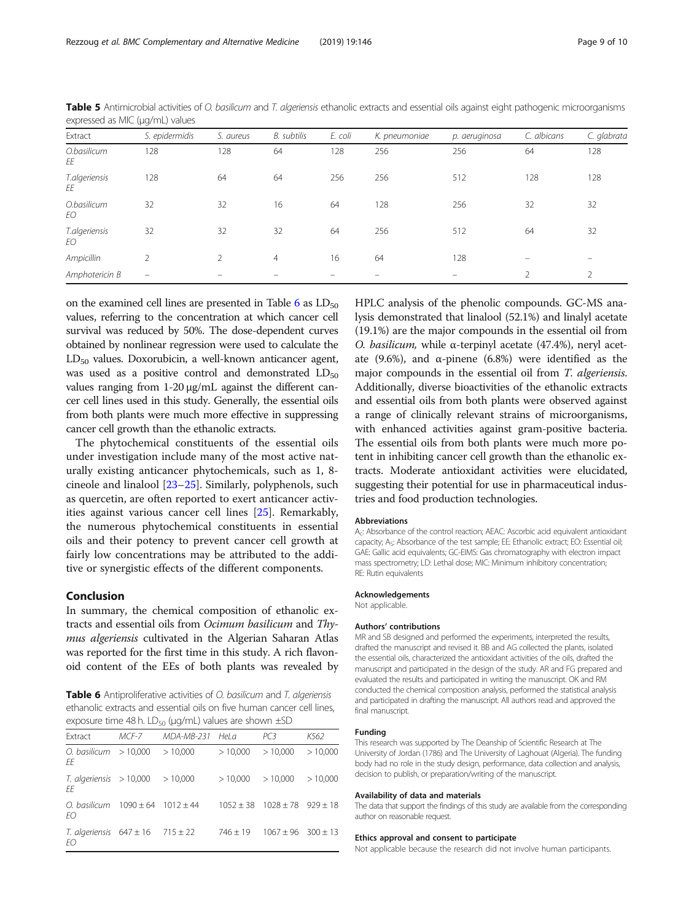| Extract             | S. epidermidis           | S. aureus | B. subtilis    | E. coli | K. pneumoniae | p. aeruginosa | C. albicans | C. glabrata |
|---------------------|--------------------------|-----------|----------------|---------|---------------|---------------|-------------|-------------|
| O.basilicum<br>EE   | 128                      | 128       | 64             | 128     | 256           | 256           | 64          | 128         |
| T.algeriensis<br>ΕE | 128                      | 64        | 64             | 256     | 256           | 512           | 128         | 128         |
| O.basilicum<br>EО   | 32                       | 32        | 16             | 64      | 128           | 256           | 32          | 32          |
| T.algeriensis<br>EО | 32                       | 32        | 32             | 64      | 256           | 512           | 64          | 32          |
| Ampicillin          | C.                       | 2         | $\overline{4}$ | 16      | 64            | 128           |             |             |
| Amphotericin B      | $\overline{\phantom{0}}$ |           |                |         |               |               | $\bigcap$   | $\bigcap$   |

<span id="page-8-0"></span>Table 5 Antimicrobial activities of O. basilicum and T. algeriensis ethanolic extracts and essential oils against eight pathogenic microorganisms expressed as MIC (μg/mL) values

on the examined cell lines are presented in Table  $6$  as  $LD_{50}$ values, referring to the concentration at which cancer cell survival was reduced by 50%. The dose-dependent curves obtained by nonlinear regression were used to calculate the  $LD_{50}$  values. Doxorubicin, a well-known anticancer agent, was used as a positive control and demonstrated  $LD_{50}$ values ranging from 1-20 μg/mL against the different cancer cell lines used in this study. Generally, the essential oils from both plants were much more effective in suppressing cancer cell growth than the ethanolic extracts.

The phytochemical constituents of the essential oils under investigation include many of the most active naturally existing anticancer phytochemicals, such as 1, 8 cineole and linalool [[23](#page-9-0)–[25](#page-9-0)]. Similarly, polyphenols, such as quercetin, are often reported to exert anticancer activities against various cancer cell lines [[25](#page-9-0)]. Remarkably, the numerous phytochemical constituents in essential oils and their potency to prevent cancer cell growth at fairly low concentrations may be attributed to the additive or synergistic effects of the different components.

# Conclusion

In summary, the chemical composition of ethanolic extracts and essential oils from Ocimum basilicum and Thymus algeriensis cultivated in the Algerian Saharan Atlas was reported for the first time in this study. A rich flavonoid content of the EEs of both plants was revealed by

**Table 6** Antiproliferative activities of *O. basilicum* and *T. algeriensis* ethanolic extracts and essential oils on five human cancer cell lines, exposure time 48 h. LD<sub>50</sub> (μg/mL) values are shown  $\pm$ SD

| criposare anne no ni comprincipalmente and shown $\pm$ so |       |                 |              |                                          |         |  |  |  |
|-----------------------------------------------------------|-------|-----------------|--------------|------------------------------------------|---------|--|--|--|
| Extract                                                   | MCF-7 | MDA-MB-231 Hela |              | PC3                                      | K562    |  |  |  |
| O. basilicum $>10,000$<br>FF                              |       | >10.000         | >10.000      | >10.000                                  | >10.000 |  |  |  |
| $T.$ algeriensis $> 10,000$<br>FF                         |       | >10.000         | >10.000      | >10,000                                  | >10,000 |  |  |  |
| O. basilicum $1090 \pm 64$ $1012 \pm 44$<br>FO.           |       |                 |              | $1052 \pm 38$ $1028 \pm 78$ 929 $\pm 18$ |         |  |  |  |
| T. algeriensis $647 \pm 16$ $715 \pm 22$<br>EО            |       |                 | $746 \pm 19$ | $1067 \pm 96$ 300 $\pm$ 13               |         |  |  |  |

HPLC analysis of the phenolic compounds. GC-MS analysis demonstrated that linalool (52.1%) and linalyl acetate (19.1%) are the major compounds in the essential oil from O. basilicum, while α-terpinyl acetate (47.4%), neryl acetate (9.6%), and  $\alpha$ -pinene (6.8%) were identified as the major compounds in the essential oil from T. algeriensis. Additionally, diverse bioactivities of the ethanolic extracts and essential oils from both plants were observed against a range of clinically relevant strains of microorganisms, with enhanced activities against gram-positive bacteria. The essential oils from both plants were much more potent in inhibiting cancer cell growth than the ethanolic extracts. Moderate antioxidant activities were elucidated, suggesting their potential for use in pharmaceutical industries and food production technologies.

#### Abbreviations

Ac: Absorbance of the control reaction; AEAC: Ascorbic acid equivalent antioxidant capacity; A<sub>S</sub>: Absorbance of the test sample; EE: Ethanolic extract; EO: Essential oil; GAE: Gallic acid equivalents; GC-EIMS: Gas chromatography with electron impact mass spectrometry; LD: Lethal dose; MIC: Minimum inhibitory concentration; RE: Rutin equivalents

#### Acknowledgements

Not applicable.

#### Authors' contributions

MR and SB designed and performed the experiments, interpreted the results, drafted the manuscript and revised it. BB and AG collected the plants, isolated the essential oils, characterized the antioxidant activities of the oils, drafted the manuscript and participated in the design of the study. AR and FG prepared and evaluated the results and participated in writing the manuscript. OK and RM conducted the chemical composition analysis, performed the statistical analysis and participated in drafting the manuscript. All authors read and approved the final manuscript.

## Funding

This research was supported by The Deanship of Scientific Research at The University of Jordan (1786) and The University of Laghouat (Algeria). The funding body had no role in the study design, performance, data collection and analysis, decision to publish, or preparation/writing of the manuscript.

#### Availability of data and materials

The data that support the findings of this study are available from the corresponding author on reasonable request.

#### Ethics approval and consent to participate

Not applicable because the research did not involve human participants.